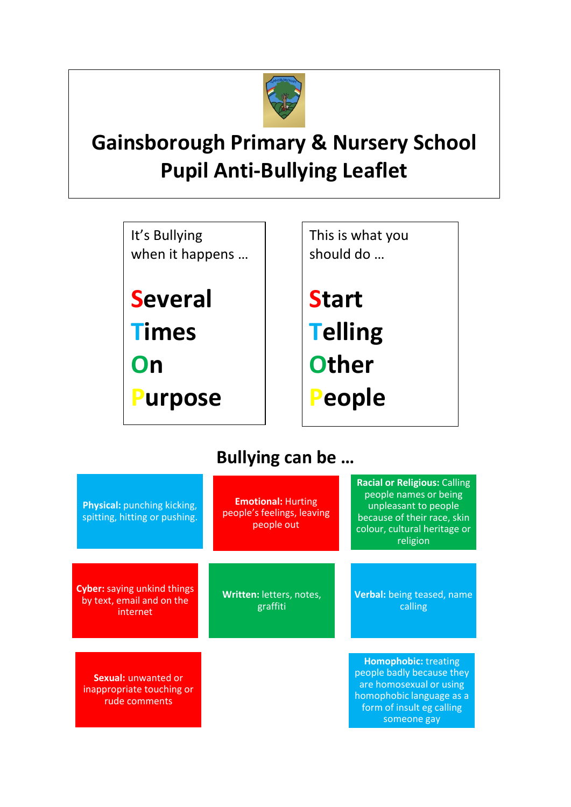

## **Gainsborough Primary & Nursery School Pupil Anti-Bullying Leaflet**

It's Bullying when it happens …

**Several Times On Purpose**  This is what you should do …

**Start Telling Other People** 

## **Bullying can be …**

| Physical: punching kicking,<br>spitting, hitting or pushing.                | <b>Emotional: Hurting</b><br>people's feelings, leaving<br>people out | <b>Racial or Religious: Calling</b><br>people names or being<br>unpleasant to people<br>because of their race, skin<br>colour, cultural heritage or<br>religion |  |
|-----------------------------------------------------------------------------|-----------------------------------------------------------------------|-----------------------------------------------------------------------------------------------------------------------------------------------------------------|--|
| <b>Cyber:</b> saying unkind things<br>by text, email and on the<br>internet | Written: letters, notes,<br>graffiti                                  | Verbal: being teased, name<br>calling                                                                                                                           |  |
| Sexual: unwanted or<br>inappropriate touching or<br>rude comments           |                                                                       | <b>Homophobic:</b> treating<br>people badly because they<br>are homosexual or using<br>homophobic language as a<br>form of insult eg calling<br>someone gay     |  |